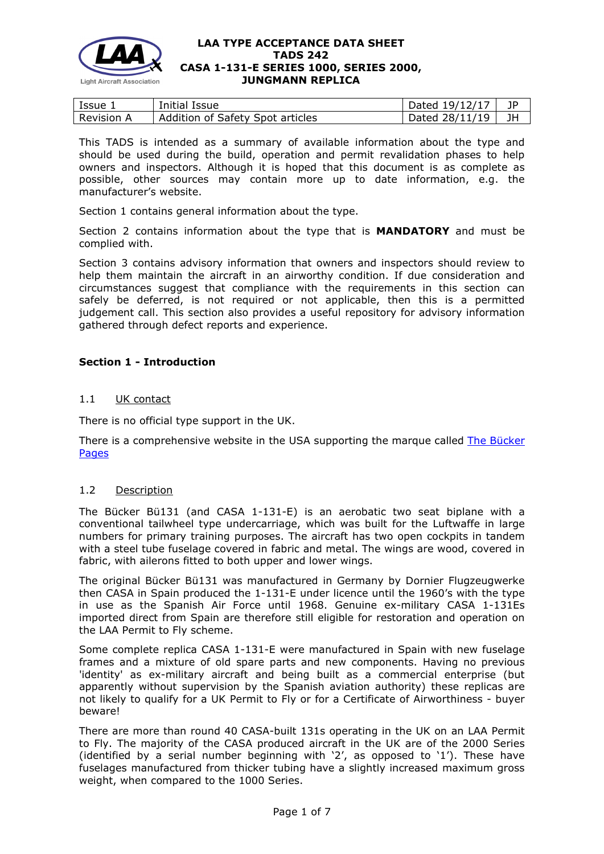

| Issue 1           | Initial Issue                    | Dated $19/12/17$ |    |
|-------------------|----------------------------------|------------------|----|
| <b>Revision A</b> | Addition of Safety Spot articles | Dated $28/11/19$ | JH |

This TADS is intended as a summary of available information about the type and should be used during the build, operation and permit revalidation phases to help owners and inspectors. Although it is hoped that this document is as complete as possible, other sources may contain more up to date information, e.g. the manufacturer's website.

Section 1 contains general information about the type.

Section 2 contains information about the type that is **MANDATORY** and must be complied with.

Section 3 contains advisory information that owners and inspectors should review to help them maintain the aircraft in an airworthy condition. If due consideration and circumstances suggest that compliance with the requirements in this section can safely be deferred, is not required or not applicable, then this is a permitted judgement call. This section also provides a useful repository for advisory information gathered through defect reports and experience.

# **Section 1 - Introduction**

# 1.1 UK contact

There is no official type support in the UK.

There is a comprehensive website in the USA supporting the marque called [The Bücker](http://www.bucker.info/)  [Pages](http://www.bucker.info/)

# 1.2 Description

The Bücker Bü131 (and CASA 1-131-E) is an aerobatic two seat biplane with a conventional tailwheel type undercarriage, which was built for the Luftwaffe in large numbers for primary training purposes. The aircraft has two open cockpits in tandem with a steel tube fuselage covered in fabric and metal. The wings are wood, covered in fabric, with ailerons fitted to both upper and lower wings.

The original Bücker Bü131 was manufactured in Germany by Dornier Flugzeugwerke then CASA in Spain produced the 1-131-E under licence until the 1960's with the type in use as the Spanish Air Force until 1968. Genuine ex-military CASA 1-131Es imported direct from Spain are therefore still eligible for restoration and operation on the LAA Permit to Fly scheme.

Some complete replica CASA 1-131-E were manufactured in Spain with new fuselage frames and a mixture of old spare parts and new components. Having no previous 'identity' as ex-military aircraft and being built as a commercial enterprise (but apparently without supervision by the Spanish aviation authority) these replicas are not likely to qualify for a UK Permit to Fly or for a Certificate of Airworthiness - buyer beware!

There are more than round 40 CASA-built 131s operating in the UK on an LAA Permit to Fly. The majority of the CASA produced aircraft in the UK are of the 2000 Series (identified by a serial number beginning with '2', as opposed to '1'). These have fuselages manufactured from thicker tubing have a slightly increased maximum gross weight, when compared to the 1000 Series.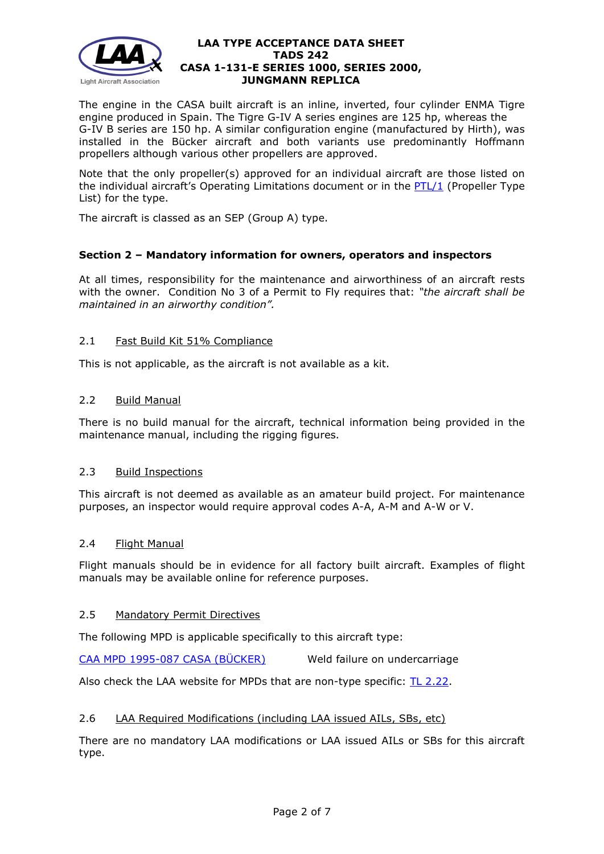

The engine in the CASA built aircraft is an inline, inverted, four cylinder ENMA Tigre engine produced in Spain. The Tigre G-IV A series engines are 125 hp, whereas the G-IV B series are 150 hp. A similar configuration engine (manufactured by Hirth), was installed in the Bücker aircraft and both variants use predominantly Hoffmann propellers although various other propellers are approved.

Note that the only propeller(s) approved for an individual aircraft are those listed on the individual aircraft's Operating Limitations document or in the [PTL/1](http://mar2013.lightaircraftassociation.co.uk/engineering/NewMods/Aircraft_Type_Files/242%20-%20CASA%201-131-E%20SERIES%201000,%20SERIES%202000,%20JUNGMANN%20REPLICA.pdf) (Propeller Type List) for the type.

The aircraft is classed as an SEP (Group A) type.

# **Section 2 – Mandatory information for owners, operators and inspectors**

At all times, responsibility for the maintenance and airworthiness of an aircraft rests with the owner. Condition No 3 of a Permit to Fly requires that: *"the aircraft shall be maintained in an airworthy condition".* 

# 2.1 Fast Build Kit 51% Compliance

This is not applicable, as the aircraft is not available as a kit.

# 2.2 Build Manual

There is no build manual for the aircraft, technical information being provided in the maintenance manual, including the rigging figures.

# 2.3 Build Inspections

This aircraft is not deemed as available as an amateur build project. For maintenance purposes, an inspector would require approval codes A-A, A-M and A-W or V.

# 2.4 Flight Manual

Flight manuals should be in evidence for all factory built aircraft. Examples of flight manuals may be available online for reference purposes.

# 2.5 Mandatory Permit Directives

The following MPD is applicable specifically to this aircraft type:

[CAA MPD 1995-087 CASA \(BÜCKER\)](http://www.lightaircraftassociation.co.uk/engineering/TADs/242/CAA%20MPD%201995-087.pdf) Weld failure on undercarriage

Also check the LAA website for MPDs that are non-type specific: [TL 2.22.](http://www.lightaircraftassociation.co.uk/engineering/TechnicalLeaflets/Operating%20An%20Aircraft/TL%202.22%20non-type%20specific%20MPDs.pdf)

# 2.6 LAA Required Modifications (including LAA issued AILs, SBs, etc)

There are no mandatory LAA modifications or LAA issued AILs or SBs for this aircraft type.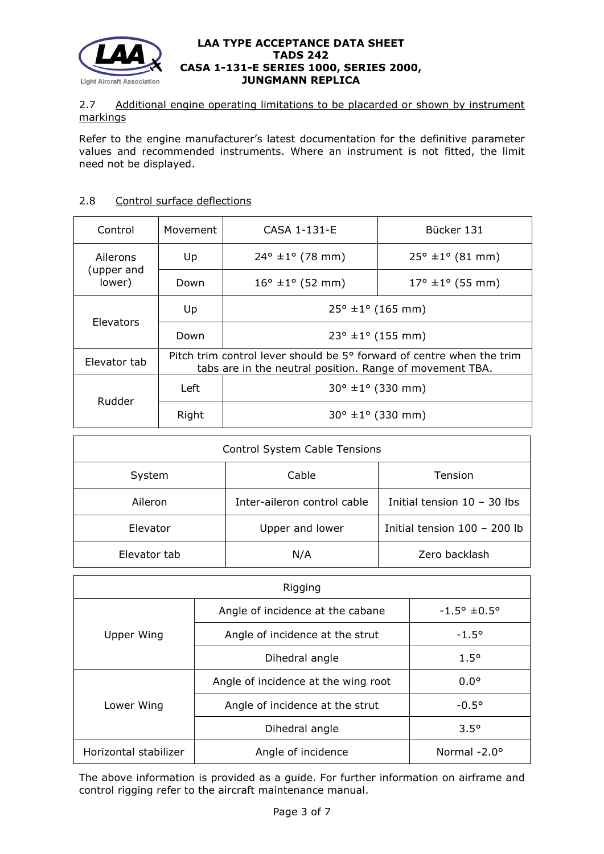

# 2.7 Additional engine operating limitations to be placarded or shown by instrument markings

Refer to the engine manufacturer's latest documentation for the definitive parameter values and recommended instruments. Where an instrument is not fitted, the limit need not be displayed.

# 2.8 Control surface deflections

| Control                          | Movement                                                                                                                          | CASA 1-131-E                        | Bücker 131               |
|----------------------------------|-----------------------------------------------------------------------------------------------------------------------------------|-------------------------------------|--------------------------|
| Ailerons<br>(upper and<br>lower) | Up                                                                                                                                | $24^{\circ} \pm 1^{\circ}$ (78 mm)  | $25^{\circ}$ ±1° (81 mm) |
|                                  | Down                                                                                                                              | $16^{\circ}$ ±1 $^{\circ}$ (52 mm)  | $17^{\circ}$ ±1° (55 mm) |
| <b>Elevators</b>                 | Up                                                                                                                                | $25^{\circ}$ ±1° (165 mm)           |                          |
|                                  | Down                                                                                                                              | $23^{\circ} \pm 1^{\circ}$ (155 mm) |                          |
| Elevator tab                     | Pitch trim control lever should be 5° forward of centre when the trim<br>tabs are in the neutral position. Range of movement TBA. |                                     |                          |
| Rudder                           | Left                                                                                                                              | $30^{\circ}$ ±1° (330 mm)           |                          |
|                                  | Right                                                                                                                             | $30^{\circ}$ ±1° (330 mm)           |                          |

| <b>Control System Cable Tensions</b> |                             |                               |  |  |  |
|--------------------------------------|-----------------------------|-------------------------------|--|--|--|
| System                               | Cable                       | Tension                       |  |  |  |
| Aileron                              | Inter-aileron control cable | Initial tension $10 - 30$ lbs |  |  |  |
| Elevator                             | Upper and lower             | Initial tension 100 - 200 lb  |  |  |  |
| Elevator tab                         | N/A                         | Zero backlash                 |  |  |  |

| Rigging               |                                     |                      |  |  |  |
|-----------------------|-------------------------------------|----------------------|--|--|--|
|                       | Angle of incidence at the cabane    | $-1.5^{\circ}$ ±0.5° |  |  |  |
| Upper Wing            | Angle of incidence at the strut     | $-1.5^{\circ}$       |  |  |  |
|                       | Dihedral angle                      | $1.5^{\circ}$        |  |  |  |
|                       | Angle of incidence at the wing root | $0.0^{\circ}$        |  |  |  |
| Lower Wing            | Angle of incidence at the strut     | $-0.5^{\circ}$       |  |  |  |
|                       | Dihedral angle                      | $3.5^\circ$          |  |  |  |
| Horizontal stabilizer | Angle of incidence                  | Normal $-2.0^\circ$  |  |  |  |

The above information is provided as a guide. For further information on airframe and control rigging refer to the aircraft maintenance manual.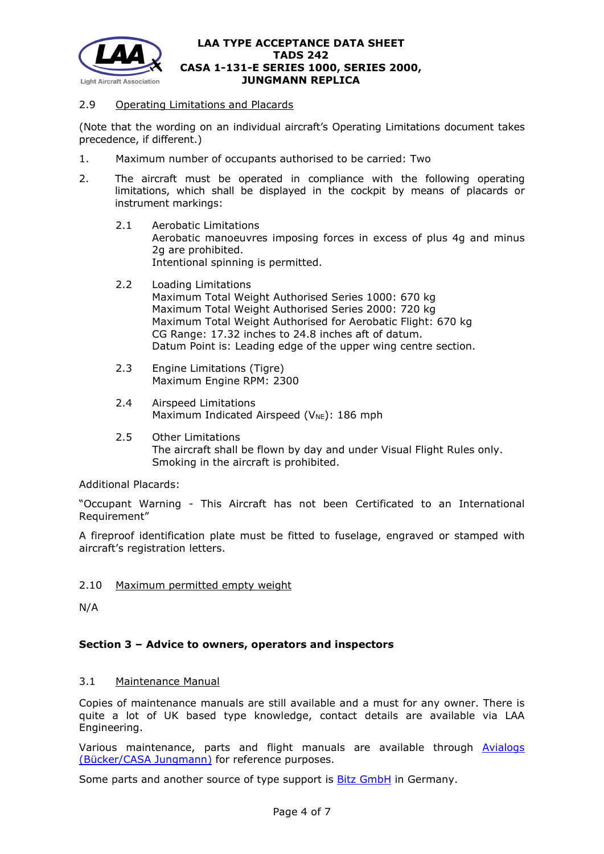

# 2.9 Operating Limitations and Placards

(Note that the wording on an individual aircraft's Operating Limitations document takes precedence, if different.)

- 1. Maximum number of occupants authorised to be carried: Two
- 2. The aircraft must be operated in compliance with the following operating limitations, which shall be displayed in the cockpit by means of placards or instrument markings:
	- 2.1 Aerobatic Limitations Aerobatic manoeuvres imposing forces in excess of plus 4g and minus 2g are prohibited. Intentional spinning is permitted.
	- 2.2 Loading Limitations Maximum Total Weight Authorised Series 1000: 670 kg Maximum Total Weight Authorised Series 2000: 720 kg Maximum Total Weight Authorised for Aerobatic Flight: 670 kg CG Range: 17.32 inches to 24.8 inches aft of datum. Datum Point is: Leading edge of the upper wing centre section.
	- 2.3 Engine Limitations (Tigre) Maximum Engine RPM: 2300
	- 2.4 Airspeed Limitations Maximum Indicated Airspeed ( $V_{NE}$ ): 186 mph
	- 2.5 Other Limitations The aircraft shall be flown by day and under Visual Flight Rules only. Smoking in the aircraft is prohibited.

Additional Placards:

"Occupant Warning - This Aircraft has not been Certificated to an International Requirement"

A fireproof identification plate must be fitted to fuselage, engraved or stamped with aircraft's registration letters.

2.10 Maximum permitted empty weight

N/A

# **Section 3 – Advice to owners, operators and inspectors**

# 3.1 Maintenance Manual

Copies of maintenance manuals are still available and a must for any owner. There is quite a lot of UK based type knowledge, contact details are available via LAA Engineering.

Various maintenance, parts and flight manuals are available through [Avialogs](http://www.avialogs.com/index.php/en/aircraft/germany/bucker/bu131jungmann.html)  [\(Bücker/CASA Jungmann\)](http://www.avialogs.com/index.php/en/aircraft/germany/bucker/bu131jungmann.html) for reference purposes.

Some parts and another source of type support is **Bitz GmbH** in Germany.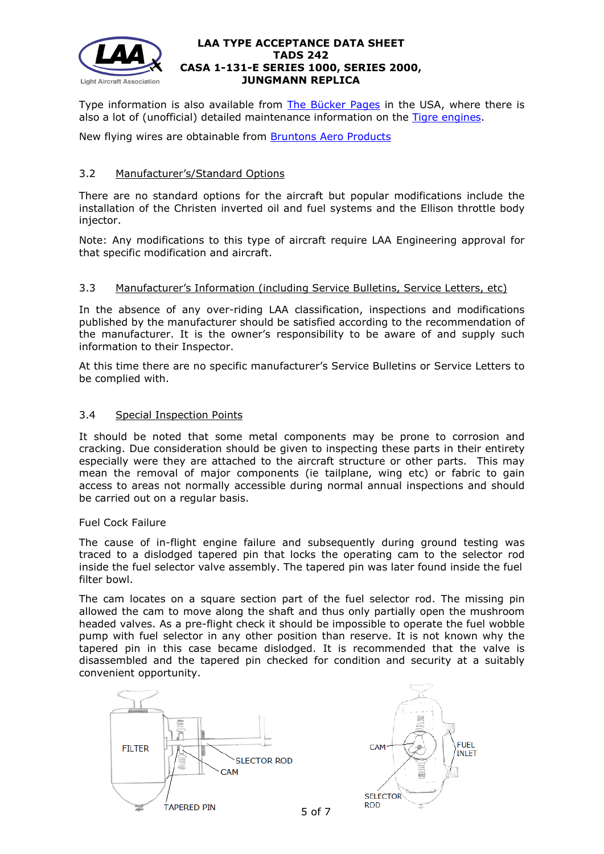

Type information is also available from [The Bücker Pages](http://www.bucker.info/) in the USA, where there is also a lot of (unofficial) detailed maintenance information on the [Tigre engines.](http://sbeaver.com/Bucker/index.php/component/content/article/74-news/latest/537)

New flying wires are obtainable from [Bruntons Aero Products](http://www.bruntons.co.uk/streamline-wires)

# 3.2 Manufacturer's/Standard Options

There are no standard options for the aircraft but popular modifications include the installation of the Christen inverted oil and fuel systems and the Ellison throttle body injector.

Note: Any modifications to this type of aircraft require LAA Engineering approval for that specific modification and aircraft.

# 3.3 Manufacturer's Information (including Service Bulletins, Service Letters, etc)

In the absence of any over-riding LAA classification, inspections and modifications published by the manufacturer should be satisfied according to the recommendation of the manufacturer. It is the owner's responsibility to be aware of and supply such information to their Inspector.

At this time there are no specific manufacturer's Service Bulletins or Service Letters to be complied with.

# 3.4 Special Inspection Points

It should be noted that some metal components may be prone to corrosion and cracking. Due consideration should be given to inspecting these parts in their entirety especially were they are attached to the aircraft structure or other parts. This may mean the removal of major components (ie tailplane, wing etc) or fabric to gain access to areas not normally accessible during normal annual inspections and should be carried out on a regular basis.

# Fuel Cock Failure

The cause of in-flight engine failure and subsequently during ground testing was traced to a dislodged tapered pin that locks the operating cam to the selector rod inside the fuel selector valve assembly. The tapered pin was later found inside the fuel filter bowl.

The cam locates on a square section part of the fuel selector rod. The missing pin allowed the cam to move along the shaft and thus only partially open the mushroom headed valves. As a pre-flight check it should be impossible to operate the fuel wobble pump with fuel selector in any other position than reserve. It is not known why the tapered pin in this case became dislodged. It is recommended that the valve is disassembled and the tapered pin checked for condition and security at a suitably convenient opportunity.





5 of 7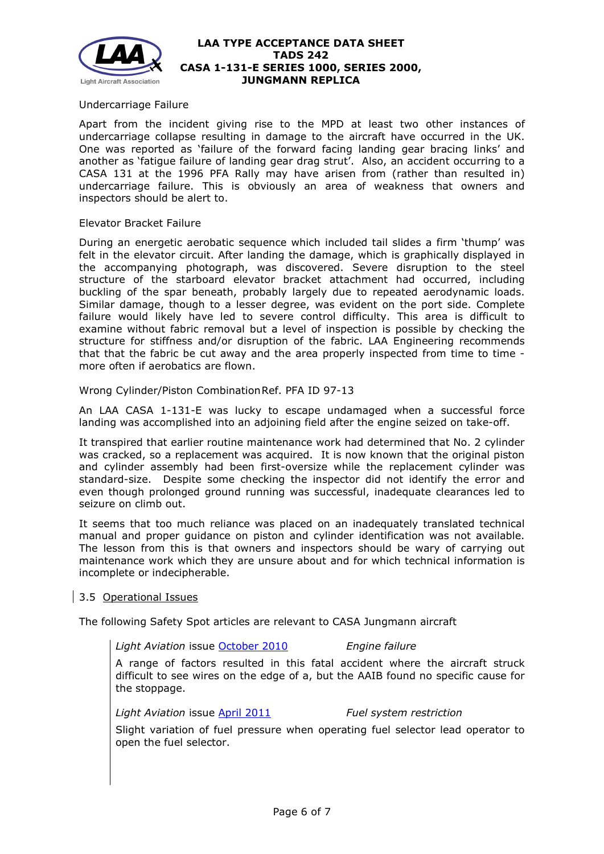

### Undercarriage Failure

Apart from the incident giving rise to the MPD at least two other instances of undercarriage collapse resulting in damage to the aircraft have occurred in the UK. One was reported as 'failure of the forward facing landing gear bracing links' and another as 'fatigue failure of landing gear drag strut'. Also, an accident occurring to a CASA 131 at the 1996 PFA Rally may have arisen from (rather than resulted in) undercarriage failure. This is obviously an area of weakness that owners and inspectors should be alert to.

#### Elevator Bracket Failure

During an energetic aerobatic sequence which included tail slides a firm 'thump' was felt in the elevator circuit. After landing the damage, which is graphically displayed in the accompanying photograph, was discovered. Severe disruption to the steel structure of the starboard elevator bracket attachment had occurred, including buckling of the spar beneath, probably largely due to repeated aerodynamic loads. Similar damage, though to a lesser degree, was evident on the port side. Complete failure would likely have led to severe control difficulty. This area is difficult to examine without fabric removal but a level of inspection is possible by checking the structure for stiffness and/or disruption of the fabric. LAA Engineering recommends that that the fabric be cut away and the area properly inspected from time to time more often if aerobatics are flown.

Wrong Cylinder/Piston CombinationRef. PFA ID 97-13

An LAA CASA 1-131-E was lucky to escape undamaged when a successful force landing was accomplished into an adjoining field after the engine seized on take-off.

It transpired that earlier routine maintenance work had determined that No. 2 cylinder was cracked, so a replacement was acquired. It is now known that the original piston and cylinder assembly had been first-oversize while the replacement cylinder was standard-size. Despite some checking the inspector did not identify the error and even though prolonged ground running was successful, inadequate clearances led to seizure on climb out.

It seems that too much reliance was placed on an inadequately translated technical manual and proper guidance on piston and cylinder identification was not available. The lesson from this is that owners and inspectors should be wary of carrying out maintenance work which they are unsure about and for which technical information is incomplete or indecipherable.

# 3.5 Operational Issues

The following Safety Spot articles are relevant to CASA Jungmann aircraft

*Light Aviation* issue [October 2010](http://www.lightaircraftassociation.co.uk/2010/Magazine/2010/Oct/safety_spot_oct.pdf) *Engine failure*

A range of factors resulted in this fatal accident where the aircraft struck difficult to see wires on the edge of a, but the AAIB found no specific cause for the stoppage.

*Light Aviation* issue [April 2011](http://www.lightaircraftassociation.co.uk/2011/Magazine/April/Safety%20Spot%20April%202011.pdf) *Fuel system restriction*

Slight variation of fuel pressure when operating fuel selector lead operator to open the fuel selector.